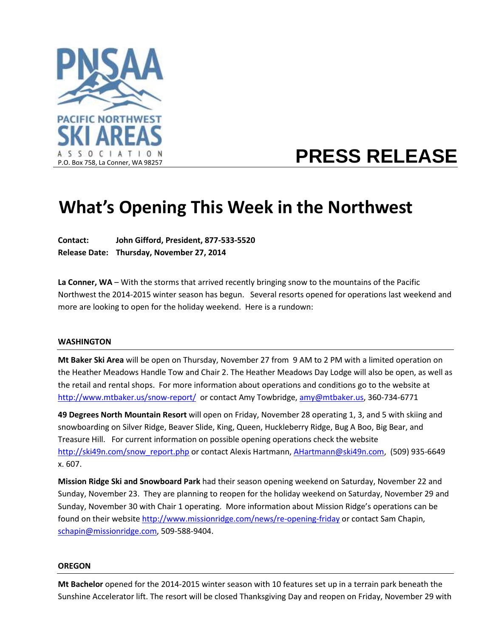

# **PRESS RELEASE**

## **What's Opening This Week in the Northwest**

**Contact: John Gifford, President, 877-533-5520 Release Date: Thursday, November 27, 2014**

**La Conner, WA** – With the storms that arrived recently bringing snow to the mountains of the Pacific Northwest the 2014-2015 winter season has begun. Several resorts opened for operations last weekend and more are looking to open for the holiday weekend. Here is a rundown:

#### **WASHINGTON**

**Mt Baker Ski Area** will be open on Thursday, November 27 from 9 AM to 2 PM with a limited operation on the Heather Meadows Handle Tow and Chair 2. The Heather Meadows Day Lodge will also be open, as well as the retail and rental shops. For more information about operations and conditions go to the website at <http://www.mtbaker.us/snow-report/>or contact Amy Towbridge, [amy@mtbaker.us,](mailto:amy@mtbaker.us) 360-734-6771

**49 Degrees North Mountain Resort** will open on Friday, November 28 operating 1, 3, and 5 with skiing and snowboarding on Silver Ridge, Beaver Slide, King, Queen, Huckleberry Ridge, Bug A Boo, Big Bear, and Treasure Hill. For current information on possible opening operations check the website [http://ski49n.com/snow\\_report.php](http://ski49n.com/snow_report.php) or contact Alexis Hartmann, [AHartmann@ski49n.com,](mailto:AHartmann@ski49n.com) (509) 935-6649 x. 607.

**Mission Ridge Ski and Snowboard Park** had their season opening weekend on Saturday, November 22 and Sunday, November 23. They are planning to reopen for the holiday weekend on Saturday, November 29 and Sunday, November 30 with Chair 1 operating. More information about Mission Ridge's operations can be found on their website <http://www.missionridge.com/news/re-opening-friday> or contact Sam Chapin, [schapin@missionridge.com,](mailto:schapin@missionridge.com) 509-588-9404.

#### **OREGON**

**Mt Bachelor** opened for the 2014-2015 winter season with 10 features set up in a terrain park beneath the Sunshine Accelerator lift. The resort will be closed Thanksgiving Day and reopen on Friday, November 29 with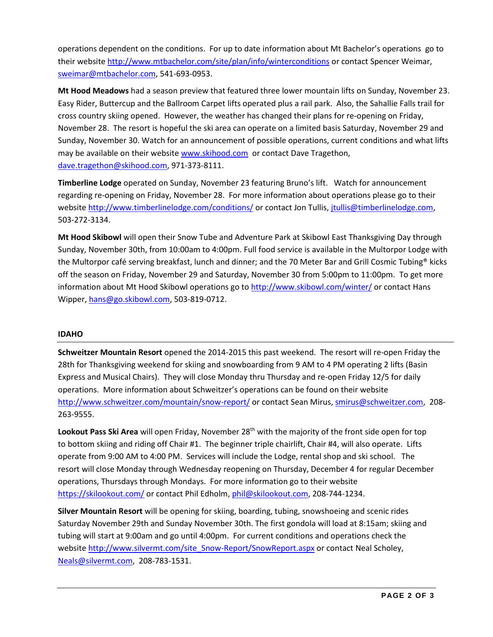operations dependent on the conditions. For up to date information about Mt Bachelor's operations go to their website <http://www.mtbachelor.com/site/plan/info/winterconditions> or contact Spencer Weimar, [sweimar@mtbachelor.com,](mailto:sweimar@mtbachelor.com) 541-693-0953.

**Mt Hood Meadows** had a season preview that featured three lower mountain lifts on Sunday, November 23. Easy Rider, Buttercup and the Ballroom Carpet lifts operated plus a rail park. Also, the Sahallie Falls trail for cross country skiing opened. However, the weather has changed their plans for re-opening on Friday, November 28. The resort is hopeful the ski area can operate on a limited basis Saturday, November 29 and Sunday, November 30. Watch for an announcement of possible operations, current conditions and what lifts may be available on their website [www.skihood.com](http://www.skihood.com/) or contact Dave Tragethon, [dave.tragethon@skihood.com,](mailto:dave.tragethon@skihood.com) 971-373-8111.

**Timberline Lodge** operated on Sunday, November 23 featuring Bruno's lift. Watch for announcement regarding re-opening on Friday, November 28. For more information about operations please go to their websit[e http://www.timberlinelodge.com/conditions/](http://www.timberlinelodge.com/conditions/) or contact Jon Tullis, [jtullis@timberlinelodge.com,](mailto:jtullis@timberlinelodge.com) 503-272-3134.

**Mt Hood Skibowl** will open their Snow Tube and Adventure Park at Skibowl East Thanksgiving Day through Sunday, November 30th, from 10:00am to 4:00pm. Full food service is available in the Multorpor Lodge with the Multorpor café serving breakfast, lunch and dinner; and the 70 Meter Bar and Grill Cosmic Tubing® kicks off the season on Friday, November 29 and Saturday, November 30 from 5:00pm to 11:00pm. To get more information about Mt Hood Skibowl operations go to<http://www.skibowl.com/winter/> or contact Hans Wipper[, hans@go.skibowl.com,](mailto:hans@go.skibowl.com) 503-819-0712.

### **IDAHO**

**Schweitzer Mountain Resort** opened the 2014-2015 this past weekend. The resort will re-open Friday the 28th for Thanksgiving weekend for skiing and snowboarding from 9 AM to 4 PM operating 2 lifts (Basin Express and Musical Chairs). They will close Monday thru Thursday and re-open Friday 12/5 for daily operations. More information about Schweitzer's operations can be found on their website <http://www.schweitzer.com/mountain/snow-report/> or contact Sean Mirus, [smirus@schweitzer.com,](mailto:smirus@schweitzer.com) 208-263-9555.

Lookout Pass Ski Area will open Friday, November 28<sup>th</sup> with the majority of the front side open for top to bottom skiing and riding off Chair #1. The beginner triple chairlift, Chair #4, will also operate. Lifts operate from 9:00 AM to 4:00 PM. Services will include the Lodge, rental shop and ski school. The resort will close Monday through Wednesday reopening on Thursday, December 4 for regular December operations, Thursdays through Mondays. For more information go to their website <https://skilookout.com/> or contact Phil Edholm, [phil@skilookout.com,](mailto:phil@skilookout.com) 208-744-1234.

**Silver Mountain Resort** will be opening for skiing, boarding, tubing, snowshoeing and scenic rides Saturday November 29th and Sunday November 30th. The first gondola will load at 8:15am; skiing and tubing will start at 9:00am and go until 4:00pm. For current conditions and operations check the websit[e http://www.silvermt.com/site\\_Snow-Report/SnowReport.aspx](http://www.silvermt.com/site_Snow-Report/SnowReport.aspx) or contact Neal Scholey, [Neals@silvermt.com,](mailto:Neals@silvermt.com) 208-783-1531.